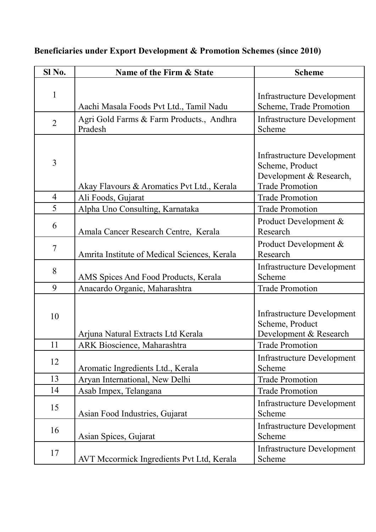| Sl No.         | Name of the Firm & State                            | <b>Scheme</b>                                                                                             |
|----------------|-----------------------------------------------------|-----------------------------------------------------------------------------------------------------------|
| 1              |                                                     |                                                                                                           |
|                | Aachi Masala Foods Pvt Ltd., Tamil Nadu             | <b>Infrastructure Development</b><br>Scheme, Trade Promotion                                              |
| $\overline{2}$ | Agri Gold Farms & Farm Products., Andhra<br>Pradesh | Infrastructure Development<br>Scheme                                                                      |
| 3              | Akay Flavours & Aromatics Pvt Ltd., Kerala          | <b>Infrastructure Development</b><br>Scheme, Product<br>Development & Research,<br><b>Trade Promotion</b> |
| $\overline{4}$ | Ali Foods, Gujarat                                  | <b>Trade Promotion</b>                                                                                    |
| 5              | Alpha Uno Consulting, Karnataka                     | <b>Trade Promotion</b>                                                                                    |
| 6              | Amala Cancer Research Centre, Kerala                | Product Development &<br>Research                                                                         |
| 7              | Amrita Institute of Medical Sciences, Kerala        | Product Development &<br>Research                                                                         |
| 8              | AMS Spices And Food Products, Kerala                | <b>Infrastructure Development</b><br>Scheme                                                               |
| 9              | Anacardo Organic, Maharashtra                       | <b>Trade Promotion</b>                                                                                    |
| 10             | Arjuna Natural Extracts Ltd Kerala                  | <b>Infrastructure Development</b><br>Scheme, Product<br>Development & Research                            |
| 11             | ARK Bioscience, Maharashtra                         | <b>Trade Promotion</b>                                                                                    |
| 12             | Aromatic Ingredients Ltd., Kerala                   | <b>Infrastructure Development</b><br>Scheme                                                               |
| 13             | Aryan International, New Delhi                      | <b>Trade Promotion</b>                                                                                    |
| 14             | Asab Impex, Telangana                               | <b>Trade Promotion</b>                                                                                    |
| 15             | Asian Food Industries, Gujarat                      | <b>Infrastructure Development</b><br>Scheme                                                               |
| 16             | Asian Spices, Gujarat                               | <b>Infrastructure Development</b><br>Scheme                                                               |
| 17             | AVT Mccormick Ingredients Pvt Ltd, Kerala           | <b>Infrastructure Development</b><br>Scheme                                                               |

## **Beneficiaries under Export Development & Promotion Schemes (since 2010)**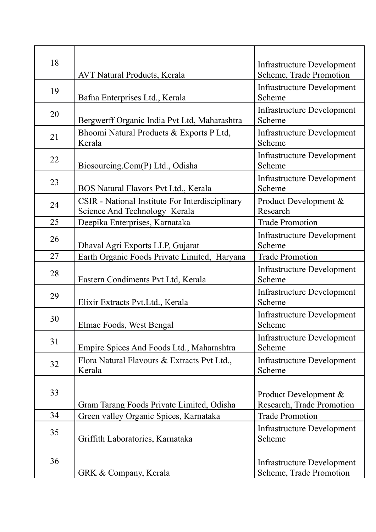| 18 | <b>AVT Natural Products, Kerala</b>                                              | <b>Infrastructure Development</b><br>Scheme, Trade Promotion |
|----|----------------------------------------------------------------------------------|--------------------------------------------------------------|
| 19 | Bafna Enterprises Ltd., Kerala                                                   | <b>Infrastructure Development</b><br>Scheme                  |
| 20 | Bergwerff Organic India Pvt Ltd, Maharashtra                                     | Infrastructure Development<br>Scheme                         |
| 21 | Bhoomi Natural Products & Exports P Ltd,<br>Kerala                               | <b>Infrastructure Development</b><br>Scheme                  |
| 22 | Biosourcing.Com(P) Ltd., Odisha                                                  | Infrastructure Development<br>Scheme                         |
| 23 | BOS Natural Flavors Pvt Ltd., Kerala                                             | <b>Infrastructure Development</b><br>Scheme                  |
| 24 | CSIR - National Institute For Interdisciplinary<br>Science And Technology Kerala | Product Development &<br>Research                            |
| 25 | Deepika Enterprises, Karnataka                                                   | <b>Trade Promotion</b>                                       |
| 26 | Dhaval Agri Exports LLP, Gujarat                                                 | <b>Infrastructure Development</b><br>Scheme                  |
| 27 | Earth Organic Foods Private Limited, Haryana                                     | <b>Trade Promotion</b>                                       |
| 28 | Eastern Condiments Pvt Ltd, Kerala                                               | Infrastructure Development<br>Scheme                         |
| 29 | Elixir Extracts Pvt.Ltd., Kerala                                                 | Infrastructure Development<br>Scheme                         |
| 30 | Elmac Foods, West Bengal                                                         | <b>Infrastructure Development</b><br>Scheme                  |
| 31 | Empire Spices And Foods Ltd., Maharashtra                                        | <b>Infrastructure Development</b><br>Scheme                  |
| 32 | Flora Natural Flavours & Extracts Pvt Ltd.,<br>Kerala                            | Infrastructure Development<br>Scheme                         |
| 33 | Gram Tarang Foods Private Limited, Odisha                                        | Product Development &<br>Research, Trade Promotion           |
| 34 | Green valley Organic Spices, Karnataka                                           | <b>Trade Promotion</b>                                       |
| 35 | Griffith Laboratories, Karnataka                                                 | <b>Infrastructure Development</b><br>Scheme                  |
| 36 | GRK & Company, Kerala                                                            | Infrastructure Development<br>Scheme, Trade Promotion        |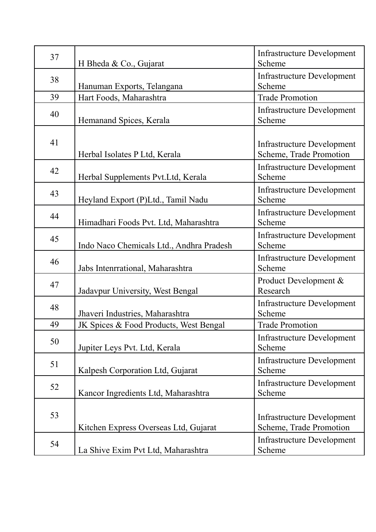| 37 | H Bheda & Co., Gujarat                   | <b>Infrastructure Development</b><br>Scheme                  |
|----|------------------------------------------|--------------------------------------------------------------|
| 38 | Hanuman Exports, Telangana               | <b>Infrastructure Development</b><br>Scheme                  |
| 39 | Hart Foods, Maharashtra                  | <b>Trade Promotion</b>                                       |
| 40 | Hemanand Spices, Kerala                  | <b>Infrastructure Development</b><br>Scheme                  |
| 41 | Herbal Isolates P Ltd, Kerala            | <b>Infrastructure Development</b><br>Scheme, Trade Promotion |
| 42 | Herbal Supplements Pvt. Ltd, Kerala      | <b>Infrastructure Development</b><br>Scheme                  |
| 43 | Heyland Export (P)Ltd., Tamil Nadu       | <b>Infrastructure Development</b><br>Scheme                  |
| 44 | Himadhari Foods Pvt. Ltd, Maharashtra    | <b>Infrastructure Development</b><br>Scheme                  |
| 45 | Indo Naco Chemicals Ltd., Andhra Pradesh | <b>Infrastructure Development</b><br>Scheme                  |
| 46 |                                          | <b>Infrastructure Development</b>                            |
|    | Jabs Intenrrational, Maharashtra         | Scheme                                                       |
| 47 | Jadavpur University, West Bengal         | Product Development &<br>Research                            |
| 48 | Jhaveri Industries, Maharashtra          | <b>Infrastructure Development</b><br>Scheme                  |
| 49 | JK Spices & Food Products, West Bengal   | <b>Trade Promotion</b>                                       |
| 50 | Jupiter Leys Pvt. Ltd, Kerala            | <b>Infrastructure Development</b><br>Scheme                  |
| 51 | Kalpesh Corporation Ltd, Gujarat         | <b>Infrastructure Development</b><br>Scheme                  |
| 52 | Kancor Ingredients Ltd, Maharashtra      | <b>Infrastructure Development</b><br>Scheme                  |
| 53 | Kitchen Express Overseas Ltd, Gujarat    | <b>Infrastructure Development</b><br>Scheme, Trade Promotion |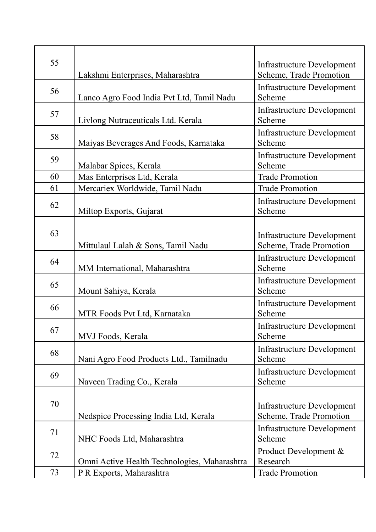| 55 | Lakshmi Enterprises, Maharashtra             | <b>Infrastructure Development</b><br>Scheme, Trade Promotion |
|----|----------------------------------------------|--------------------------------------------------------------|
| 56 | Lanco Agro Food India Pvt Ltd, Tamil Nadu    | <b>Infrastructure Development</b><br>Scheme                  |
| 57 | Livlong Nutraceuticals Ltd. Kerala           | <b>Infrastructure Development</b><br>Scheme                  |
| 58 | Maiyas Beverages And Foods, Karnataka        | <b>Infrastructure Development</b><br>Scheme                  |
| 59 | Malabar Spices, Kerala                       | <b>Infrastructure Development</b><br>Scheme                  |
| 60 | Mas Enterprises Ltd, Kerala                  | <b>Trade Promotion</b>                                       |
| 61 | Mercariex Worldwide, Tamil Nadu              | <b>Trade Promotion</b>                                       |
| 62 | Miltop Exports, Gujarat                      | Infrastructure Development<br>Scheme                         |
| 63 | Mittulaul Lalah & Sons, Tamil Nadu           | <b>Infrastructure Development</b><br>Scheme, Trade Promotion |
| 64 | MM International, Maharashtra                | <b>Infrastructure Development</b><br>Scheme                  |
| 65 | Mount Sahiya, Kerala                         | <b>Infrastructure Development</b><br>Scheme                  |
| 66 | MTR Foods Pvt Ltd, Karnataka                 | <b>Infrastructure Development</b><br>Scheme                  |
| 67 | MVJ Foods, Kerala                            | <b>Infrastructure Development</b><br>Scheme                  |
| 68 | Nani Agro Food Products Ltd., Tamilnadu      | <b>Infrastructure Development</b><br>Scheme                  |
| 69 | Naveen Trading Co., Kerala                   | <b>Infrastructure Development</b><br>Scheme                  |
| 70 | Nedspice Processing India Ltd, Kerala        | <b>Infrastructure Development</b><br>Scheme, Trade Promotion |
| 71 | NHC Foods Ltd, Maharashtra                   | <b>Infrastructure Development</b><br>Scheme                  |
| 72 | Omni Active Health Technologies, Maharashtra | Product Development &<br>Research                            |
| 73 | P R Exports, Maharashtra                     | <b>Trade Promotion</b>                                       |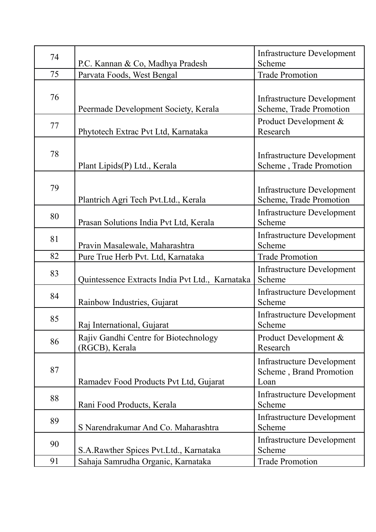| 74 | P.C. Kannan & Co, Madhya Pradesh                        | <b>Infrastructure Development</b><br>Scheme                          |
|----|---------------------------------------------------------|----------------------------------------------------------------------|
| 75 | Parvata Foods, West Bengal                              | <b>Trade Promotion</b>                                               |
| 76 | Peermade Development Society, Kerala                    | <b>Infrastructure Development</b><br>Scheme, Trade Promotion         |
| 77 | Phytotech Extrac Pvt Ltd, Karnataka                     | Product Development &<br>Research                                    |
| 78 | Plant Lipids(P) Ltd., Kerala                            | <b>Infrastructure Development</b><br>Scheme, Trade Promotion         |
| 79 | Plantrich Agri Tech Pvt. Ltd., Kerala                   | <b>Infrastructure Development</b><br>Scheme, Trade Promotion         |
| 80 | Prasan Solutions India Pvt Ltd, Kerala                  | <b>Infrastructure Development</b><br>Scheme                          |
| 81 | Pravin Masalewale, Maharashtra                          | <b>Infrastructure Development</b><br>Scheme                          |
| 82 | Pure True Herb Pvt. Ltd, Karnataka                      | <b>Trade Promotion</b>                                               |
| 83 | Quintessence Extracts India Pvt Ltd., Karnataka         | Infrastructure Development<br>Scheme                                 |
| 84 | Rainbow Industries, Gujarat                             | Infrastructure Development<br>Scheme                                 |
| 85 | Raj International, Gujarat                              | Infrastructure Development<br>Scheme                                 |
| 86 | Rajiv Gandhi Centre for Biotechnology<br>(RGCB), Kerala | Product Development &<br>Research                                    |
| 87 | Ramadev Food Products Pvt Ltd, Gujarat                  | <b>Infrastructure Development</b><br>Scheme, Brand Promotion<br>Loan |
| 88 | Rani Food Products, Kerala                              | Infrastructure Development<br>Scheme                                 |
| 89 | S Narendrakumar And Co. Maharashtra                     | Infrastructure Development<br>Scheme                                 |
| 90 | S.A.Rawther Spices Pvt.Ltd., Karnataka                  | Infrastructure Development<br>Scheme                                 |
| 91 | Sahaja Samrudha Organic, Karnataka                      | <b>Trade Promotion</b>                                               |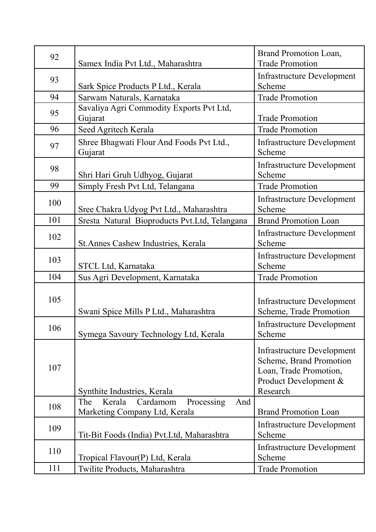| 92  | Samex India Pvt Ltd., Maharashtra                                               | Brand Promotion Loan,<br><b>Trade Promotion</b>                                                                             |
|-----|---------------------------------------------------------------------------------|-----------------------------------------------------------------------------------------------------------------------------|
| 93  | Sark Spice Products P Ltd., Kerala                                              | <b>Infrastructure Development</b><br>Scheme                                                                                 |
| 94  | Sarwam Naturals, Karnataka                                                      | <b>Trade Promotion</b>                                                                                                      |
| 95  | Savaliya Agri Commodity Exports Pvt Ltd,<br>Gujarat                             | <b>Trade Promotion</b>                                                                                                      |
| 96  | Seed Agritech Kerala                                                            | <b>Trade Promotion</b>                                                                                                      |
| 97  | Shree Bhagwati Flour And Foods Pvt Ltd.,<br>Gujarat                             | Infrastructure Development<br>Scheme                                                                                        |
| 98  | Shri Hari Gruh Udhyog, Gujarat                                                  | <b>Infrastructure Development</b><br>Scheme                                                                                 |
| 99  | Simply Fresh Pvt Ltd, Telangana                                                 | <b>Trade Promotion</b>                                                                                                      |
| 100 | Sree Chakra Udyog Pvt Ltd., Maharashtra                                         | <b>Infrastructure Development</b><br>Scheme                                                                                 |
| 101 | Sresta Natural Bioproducts Pvt. Ltd, Telangana                                  | <b>Brand Promotion Loan</b>                                                                                                 |
| 102 | <b>St.Annes Cashew Industries, Kerala</b>                                       | Infrastructure Development<br>Scheme                                                                                        |
| 103 | STCL Ltd, Karnataka                                                             | Infrastructure Development<br>Scheme                                                                                        |
| 104 | Sus Agri Development, Karnataka                                                 | <b>Trade Promotion</b>                                                                                                      |
| 105 | Swani Spice Mills P Ltd., Maharashtra                                           | <b>Infrastructure Development</b><br>Scheme, Trade Promotion                                                                |
| 106 | Symega Savoury Technology Ltd, Kerala                                           | <b>Infrastructure Development</b><br>Scheme                                                                                 |
| 107 | Synthite Industries, Kerala                                                     | <b>Infrastructure Development</b><br>Scheme, Brand Promotion<br>Loan, Trade Promotion,<br>Product Development &<br>Research |
| 108 | The<br>Kerala<br>Cardamom<br>Processing<br>And<br>Marketing Company Ltd, Kerala | <b>Brand Promotion Loan</b>                                                                                                 |
| 109 | Tit-Bit Foods (India) Pvt.Ltd, Maharashtra                                      | Infrastructure Development<br>Scheme                                                                                        |
| 110 | Tropical Flavour(P) Ltd, Kerala                                                 | Infrastructure Development<br>Scheme                                                                                        |
| 111 | Twilite Products, Maharashtra                                                   | <b>Trade Promotion</b>                                                                                                      |